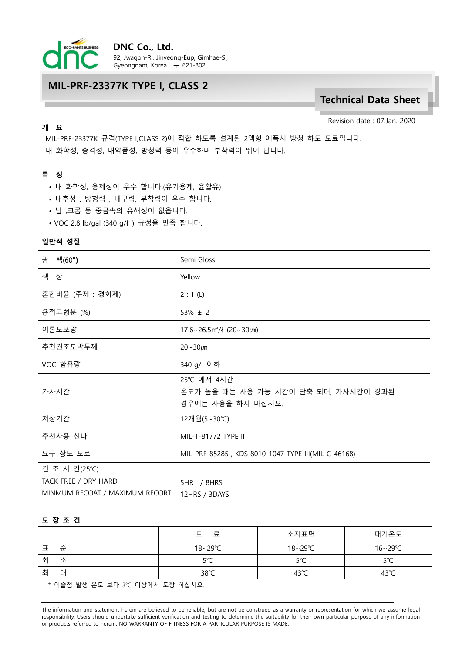

## MIL-PRF-23377K TYPE I, CLASS 2

# Technical Data Sheet

Revision date : 07.Jan. 2020

# 개 요

MIL-PRF-23377K 규격(TYPE I,CLASS 2)에 적합 하도록 설계된 2액형 에폭시 방청 하도 도료입니다. 내 화학성, 충격성, 내약품성, 방청력 등이 우수하며 부착력이 뛰어 납니다.

### 특 징

- 내 화학성, 용제성이 우수 합니다.(유기용제, 윤활유)
- 내후성 , 방청력 , 내구력, 부착력이 우수 합니다.
- 납 ,크롬 등 중금속의 유해성이 없읍니다.
- VOC 2.8 lb/gal (340 g/ℓ ) 규정을 만족 합니다.

#### 일반적 성질

| 광<br>택(60 <b>°)</b>            | Semi Gloss                                                              |  |  |
|--------------------------------|-------------------------------------------------------------------------|--|--|
| 색 상                            | Yellow                                                                  |  |  |
| 혼합비율 (주제 : 경화제)                | 2:1(L)                                                                  |  |  |
| 용적고형분 (%)                      | $53\% \pm 2$                                                            |  |  |
| 이론도포량                          | $17.6 \sim 26.5 \,\text{m}^2/\ell$ (20~30 $\mu$ m)                      |  |  |
| 추천건조도막두께                       | $20 - 30 \mu m$                                                         |  |  |
| VOC 함유량                        | 340 g/l 이하                                                              |  |  |
| 가사시간                           | 25℃ 에서 4시간<br>온도가 높을 때는 사용 가능 시간이 단축 되며, 가사시간이 경과된<br>경우에는 사용을 하지 마십시오. |  |  |
| 저장기간                           | 12개월(5~30℃)                                                             |  |  |
| 추천사용 신나                        | MIL-T-81772 TYPE II                                                     |  |  |
| 요구 상도 도료                       | MIL-PRF-85285, KDS 8010-1047 TYPE III(MIL-C-46168)                      |  |  |
| 건 조 시 간(25℃)                   |                                                                         |  |  |
| TACK FREE / DRY HARD           | 5HR / 8HRS                                                              |  |  |
| MINMUM RECOAT / MAXIMUM RECORT | 12HRS / 3DAYS                                                           |  |  |

#### 도 장 조 건

|        | 료<br>ᡃ᠇        | 소지표면           | 대기온도           |
|--------|----------------|----------------|----------------|
| 준<br>丑 | 18∼29℃         | 18∼29℃         | 16~29℃         |
| 치<br>소 | 5°C            | 5°C            | 5°C            |
| 취<br>대 | $38^{\circ}$ C | $43^{\circ}$ C | $43^{\circ}$ C |
|        |                |                |                |

\* 이슬점 발생 온도 보다 3℃ 이상에서 도장 하십시요.

The information and statement herein are believed to be reliable, but are not be construed as a warranty or representation for which we assume legal responsibility. Users should undertake sufficient verification and testing to determine the suitability for their own particular purpose of any information or products referred to herein. NO WARRANTY OF FITNESS FOR A PARTICULAR PURPOSE IS MADE.